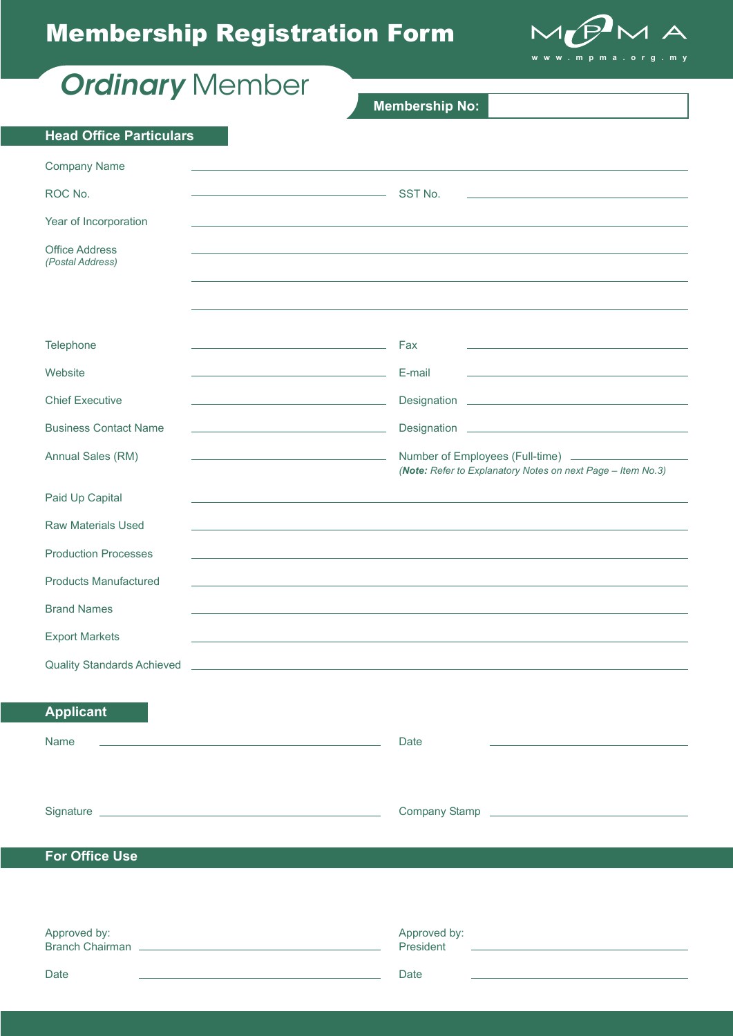# Membership Registration Form



| <b>Ordinary</b> Member                    |                                                                                                                                        |
|-------------------------------------------|----------------------------------------------------------------------------------------------------------------------------------------|
|                                           | <b>Membership No:</b>                                                                                                                  |
| <b>Head Office Particulars</b>            |                                                                                                                                        |
| <b>Company Name</b>                       |                                                                                                                                        |
| ROC No.                                   | SST No.                                                                                                                                |
| Year of Incorporation                     |                                                                                                                                        |
| <b>Office Address</b><br>(Postal Address) |                                                                                                                                        |
|                                           |                                                                                                                                        |
|                                           |                                                                                                                                        |
| Telephone                                 | Fax<br>the control of the control of the control of the control of the control of<br><u> 1990 - Johann Barbara, martin amerikan ba</u> |
| Website                                   | E-mail<br>the control of the control of the control of the control of the control of                                                   |
|                                           |                                                                                                                                        |
| <b>Chief Executive</b>                    |                                                                                                                                        |
| <b>Business Contact Name</b>              | the control of the control of the control of the control of the control of                                                             |
| Annual Sales (RM)                         | Number of Employees (Full-time) _______________<br>(Note: Refer to Explanatory Notes on next Page - Item No.3)                         |
| Paid Up Capital                           |                                                                                                                                        |
| <b>Raw Materials Used</b>                 |                                                                                                                                        |
| <b>Production Processes</b>               |                                                                                                                                        |
| <b>Products Manufactured</b>              |                                                                                                                                        |
| <b>Brand Names</b>                        |                                                                                                                                        |
| <b>Export Markets</b>                     |                                                                                                                                        |
| <b>Quality Standards Achieved</b>         |                                                                                                                                        |
|                                           |                                                                                                                                        |
| <b>Applicant</b>                          |                                                                                                                                        |
| Name                                      | Date                                                                                                                                   |
|                                           |                                                                                                                                        |
|                                           |                                                                                                                                        |
|                                           | Company Stamp<br><u>Company Stamp</u>                                                                                                  |
| <b>For Office Use</b>                     |                                                                                                                                        |
|                                           |                                                                                                                                        |
|                                           |                                                                                                                                        |
| Approved by:<br>Branch Chairman           | Approved by:<br>President                                                                                                              |

Date **Date** Date **Date** Date